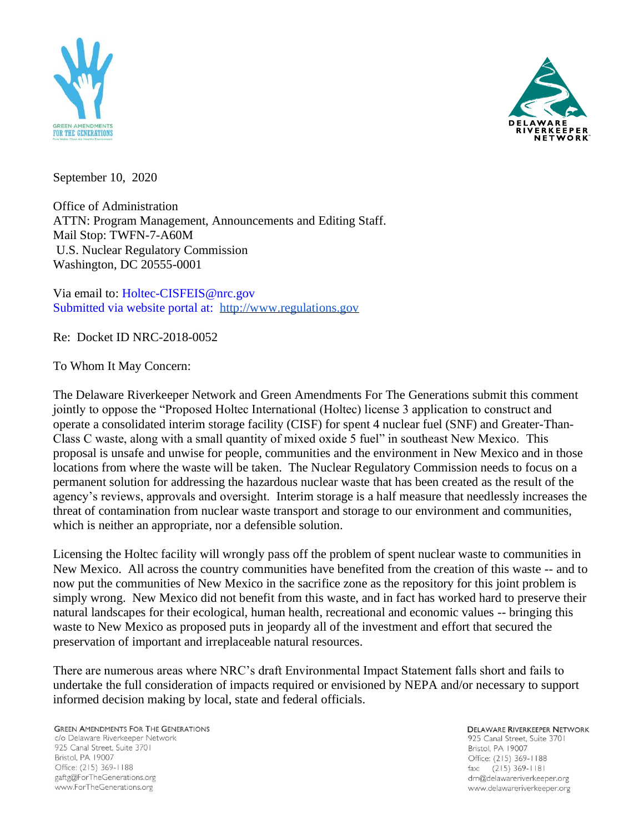



September 10, 2020

Office of Administration ATTN: Program Management, Announcements and Editing Staff. Mail Stop: TWFN-7-A60M U.S. Nuclear Regulatory Commission Washington, DC 20555-0001

Via email to: Holtec-CISFEIS@nrc.gov Submitted via website portal at: [http://www.regulations.gov](http://www.regulations.gov/)

Re: Docket ID NRC-2018-0052

To Whom It May Concern:

The Delaware Riverkeeper Network and Green Amendments For The Generations submit this comment jointly to oppose the "Proposed Holtec International (Holtec) license 3 application to construct and operate a consolidated interim storage facility (CISF) for spent 4 nuclear fuel (SNF) and Greater-Than-Class C waste, along with a small quantity of mixed oxide 5 fuel" in southeast New Mexico. This proposal is unsafe and unwise for people, communities and the environment in New Mexico and in those locations from where the waste will be taken. The Nuclear Regulatory Commission needs to focus on a permanent solution for addressing the hazardous nuclear waste that has been created as the result of the agency's reviews, approvals and oversight. Interim storage is a half measure that needlessly increases the threat of contamination from nuclear waste transport and storage to our environment and communities, which is neither an appropriate, nor a defensible solution.

Licensing the Holtec facility will wrongly pass off the problem of spent nuclear waste to communities in New Mexico. All across the country communities have benefited from the creation of this waste -- and to now put the communities of New Mexico in the sacrifice zone as the repository for this joint problem is simply wrong. New Mexico did not benefit from this waste, and in fact has worked hard to preserve their natural landscapes for their ecological, human health, recreational and economic values -- bringing this waste to New Mexico as proposed puts in jeopardy all of the investment and effort that secured the preservation of important and irreplaceable natural resources.

There are numerous areas where NRC's draft Environmental Impact Statement falls short and fails to undertake the full consideration of impacts required or envisioned by NEPA and/or necessary to support informed decision making by local, state and federal officials.

**GREEN AMENDMENTS FOR THE GENERATIONS** c/o Delaware Riverkeeper Network 925 Canal Street, Suite 3701 Bristol, PA 19007 Office: (215) 369-1188 gaftg@ForTheGenerations.org www.ForTheGenerations.org

**DELAWARE RIVERKEEPER NETWORK** 925 Canal Street, Suite 3701 Bristol, PA 19007 Office: (215) 369-1188 fax: (215) 369-1181 drn@delawareriverkeeper.org www.delawareriverkeeper.org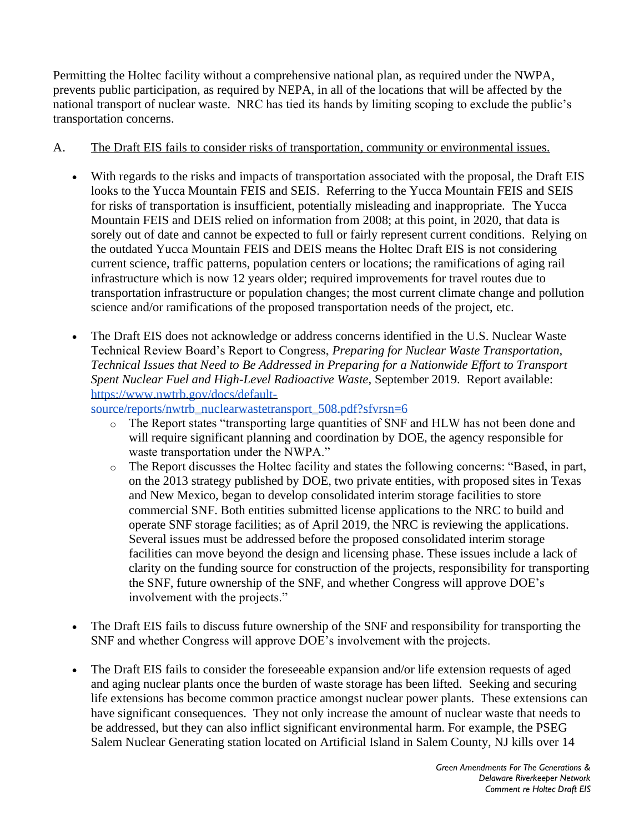Permitting the Holtec facility without a comprehensive national plan, as required under the NWPA, prevents public participation, as required by NEPA, in all of the locations that will be affected by the national transport of nuclear waste. NRC has tied its hands by limiting scoping to exclude the public's transportation concerns.

## A. The Draft EIS fails to consider risks of transportation, community or environmental issues.

- With regards to the risks and impacts of transportation associated with the proposal, the Draft EIS looks to the Yucca Mountain FEIS and SEIS. Referring to the Yucca Mountain FEIS and SEIS for risks of transportation is insufficient, potentially misleading and inappropriate. The Yucca Mountain FEIS and DEIS relied on information from 2008; at this point, in 2020, that data is sorely out of date and cannot be expected to full or fairly represent current conditions. Relying on the outdated Yucca Mountain FEIS and DEIS means the Holtec Draft EIS is not considering current science, traffic patterns, population centers or locations; the ramifications of aging rail infrastructure which is now 12 years older; required improvements for travel routes due to transportation infrastructure or population changes; the most current climate change and pollution science and/or ramifications of the proposed transportation needs of the project, etc.
- The Draft EIS does not acknowledge or address concerns identified in the U.S. Nuclear Waste Technical Review Board's Report to Congress, *Preparing for Nuclear Waste Transportation, Technical Issues that Need to Be Addressed in Preparing for a Nationwide Effort to Transport Spent Nuclear Fuel and High-Level Radioactive Waste*, September 2019. Report available: [https://www.nwtrb.gov/docs/default-](https://www.nwtrb.gov/docs/default-source/reports/nwtrb_nuclearwastetransport_508.pdf?sfvrsn=6)

[source/reports/nwtrb\\_nuclearwastetransport\\_508.pdf?sfvrsn=6](https://www.nwtrb.gov/docs/default-source/reports/nwtrb_nuclearwastetransport_508.pdf?sfvrsn=6)

- o The Report states "transporting large quantities of SNF and HLW has not been done and will require significant planning and coordination by DOE, the agency responsible for waste transportation under the NWPA."
- o The Report discusses the Holtec facility and states the following concerns: "Based, in part, on the 2013 strategy published by DOE, two private entities, with proposed sites in Texas and New Mexico, began to develop consolidated interim storage facilities to store commercial SNF. Both entities submitted license applications to the NRC to build and operate SNF storage facilities; as of April 2019, the NRC is reviewing the applications. Several issues must be addressed before the proposed consolidated interim storage facilities can move beyond the design and licensing phase. These issues include a lack of clarity on the funding source for construction of the projects, responsibility for transporting the SNF, future ownership of the SNF, and whether Congress will approve DOE's involvement with the projects."
- The Draft EIS fails to discuss future ownership of the SNF and responsibility for transporting the SNF and whether Congress will approve DOE's involvement with the projects.
- The Draft EIS fails to consider the foreseeable expansion and/or life extension requests of aged and aging nuclear plants once the burden of waste storage has been lifted. Seeking and securing life extensions has become common practice amongst nuclear power plants. These extensions can have significant consequences. They not only increase the amount of nuclear waste that needs to be addressed, but they can also inflict significant environmental harm. For example, the PSEG Salem Nuclear Generating station located on Artificial Island in Salem County, NJ kills over 14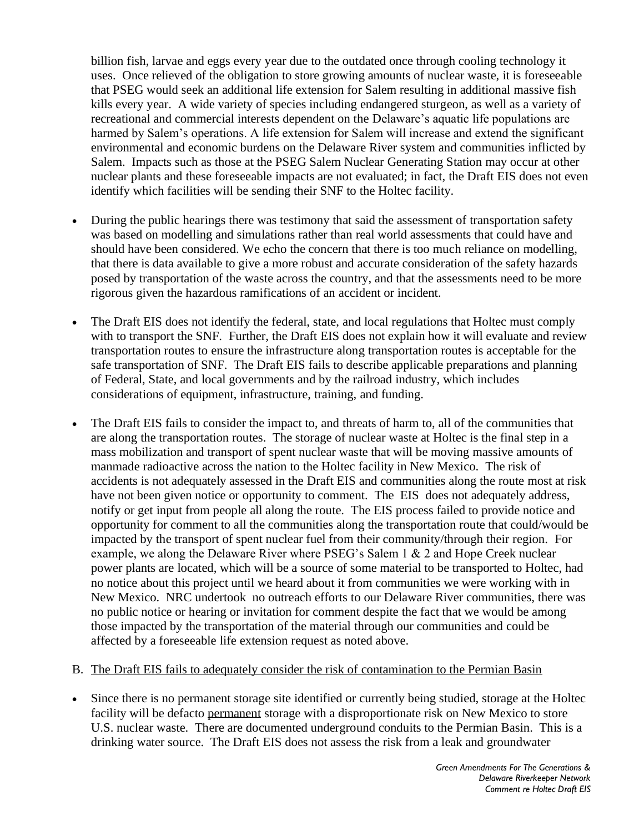billion fish, larvae and eggs every year due to the outdated once through cooling technology it uses. Once relieved of the obligation to store growing amounts of nuclear waste, it is foreseeable that PSEG would seek an additional life extension for Salem resulting in additional massive fish kills every year. A wide variety of species including endangered sturgeon, as well as a variety of recreational and commercial interests dependent on the Delaware's aquatic life populations are harmed by Salem's operations. A life extension for Salem will increase and extend the significant environmental and economic burdens on the Delaware River system and communities inflicted by Salem. Impacts such as those at the PSEG Salem Nuclear Generating Station may occur at other nuclear plants and these foreseeable impacts are not evaluated; in fact, the Draft EIS does not even identify which facilities will be sending their SNF to the Holtec facility.

- During the public hearings there was testimony that said the assessment of transportation safety was based on modelling and simulations rather than real world assessments that could have and should have been considered. We echo the concern that there is too much reliance on modelling, that there is data available to give a more robust and accurate consideration of the safety hazards posed by transportation of the waste across the country, and that the assessments need to be more rigorous given the hazardous ramifications of an accident or incident.
- The Draft EIS does not identify the federal, state, and local regulations that Holtec must comply with to transport the SNF. Further, the Draft EIS does not explain how it will evaluate and review transportation routes to ensure the infrastructure along transportation routes is acceptable for the safe transportation of SNF. The Draft EIS fails to describe applicable preparations and planning of Federal, State, and local governments and by the railroad industry, which includes considerations of equipment, infrastructure, training, and funding.
- The Draft EIS fails to consider the impact to, and threats of harm to, all of the communities that are along the transportation routes. The storage of nuclear waste at Holtec is the final step in a mass mobilization and transport of spent nuclear waste that will be moving massive amounts of manmade radioactive across the nation to the Holtec facility in New Mexico. The risk of accidents is not adequately assessed in the Draft EIS and communities along the route most at risk have not been given notice or opportunity to comment. The EIS does not adequately address, notify or get input from people all along the route. The EIS process failed to provide notice and opportunity for comment to all the communities along the transportation route that could/would be impacted by the transport of spent nuclear fuel from their community/through their region. For example, we along the Delaware River where PSEG's Salem 1 & 2 and Hope Creek nuclear power plants are located, which will be a source of some material to be transported to Holtec, had no notice about this project until we heard about it from communities we were working with in New Mexico. NRC undertook no outreach efforts to our Delaware River communities, there was no public notice or hearing or invitation for comment despite the fact that we would be among those impacted by the transportation of the material through our communities and could be affected by a foreseeable life extension request as noted above.
- B. The Draft EIS fails to adequately consider the risk of contamination to the Permian Basin
- Since there is no permanent storage site identified or currently being studied, storage at the Holtec facility will be defacto permanent storage with a disproportionate risk on New Mexico to store U.S. nuclear waste. There are documented underground conduits to the Permian Basin. This is a drinking water source. The Draft EIS does not assess the risk from a leak and groundwater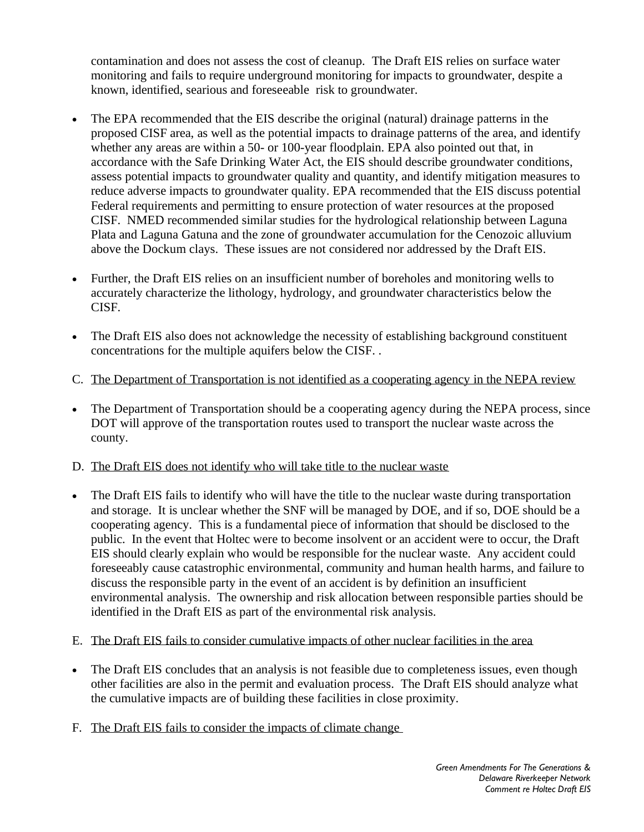contamination and does not assess the cost of cleanup. The Draft EIS relies on surface water monitoring and fails to require underground monitoring for impacts to groundwater, despite a known, identified, searious and foreseeable risk to groundwater.

- The EPA recommended that the EIS describe the original (natural) drainage patterns in the proposed CISF area, as well as the potential impacts to drainage patterns of the area, and identify whether any areas are within a 50- or 100-year floodplain. EPA also pointed out that, in accordance with the Safe Drinking Water Act, the EIS should describe groundwater conditions, assess potential impacts to groundwater quality and quantity, and identify mitigation measures to reduce adverse impacts to groundwater quality. EPA recommended that the EIS discuss potential Federal requirements and permitting to ensure protection of water resources at the proposed CISF. NMED recommended similar studies for the hydrological relationship between Laguna Plata and Laguna Gatuna and the zone of groundwater accumulation for the Cenozoic alluvium above the Dockum clays. These issues are not considered nor addressed by the Draft EIS.
- Further, the Draft EIS relies on an insufficient number of boreholes and monitoring wells to accurately characterize the lithology, hydrology, and groundwater characteristics below the CISF.
- The Draft EIS also does not acknowledge the necessity of establishing background constituent concentrations for the multiple aquifers below the CISF. .
- C. The Department of Transportation is not identified as a cooperating agency in the NEPA review
- The Department of Transportation should be a cooperating agency during the NEPA process, since DOT will approve of the transportation routes used to transport the nuclear waste across the county.
- D. The Draft EIS does not identify who will take title to the nuclear waste
- The Draft EIS fails to identify who will have the title to the nuclear waste during transportation and storage. It is unclear whether the SNF will be managed by DOE, and if so, DOE should be a cooperating agency. This is a fundamental piece of information that should be disclosed to the public. In the event that Holtec were to become insolvent or an accident were to occur, the Draft EIS should clearly explain who would be responsible for the nuclear waste. Any accident could foreseeably cause catastrophic environmental, community and human health harms, and failure to discuss the responsible party in the event of an accident is by definition an insufficient environmental analysis. The ownership and risk allocation between responsible parties should be identified in the Draft EIS as part of the environmental risk analysis.
- E. The Draft EIS fails to consider cumulative impacts of other nuclear facilities in the area
- The Draft EIS concludes that an analysis is not feasible due to completeness issues, even though other facilities are also in the permit and evaluation process. The Draft EIS should analyze what the cumulative impacts are of building these facilities in close proximity.
- F. The Draft EIS fails to consider the impacts of climate change